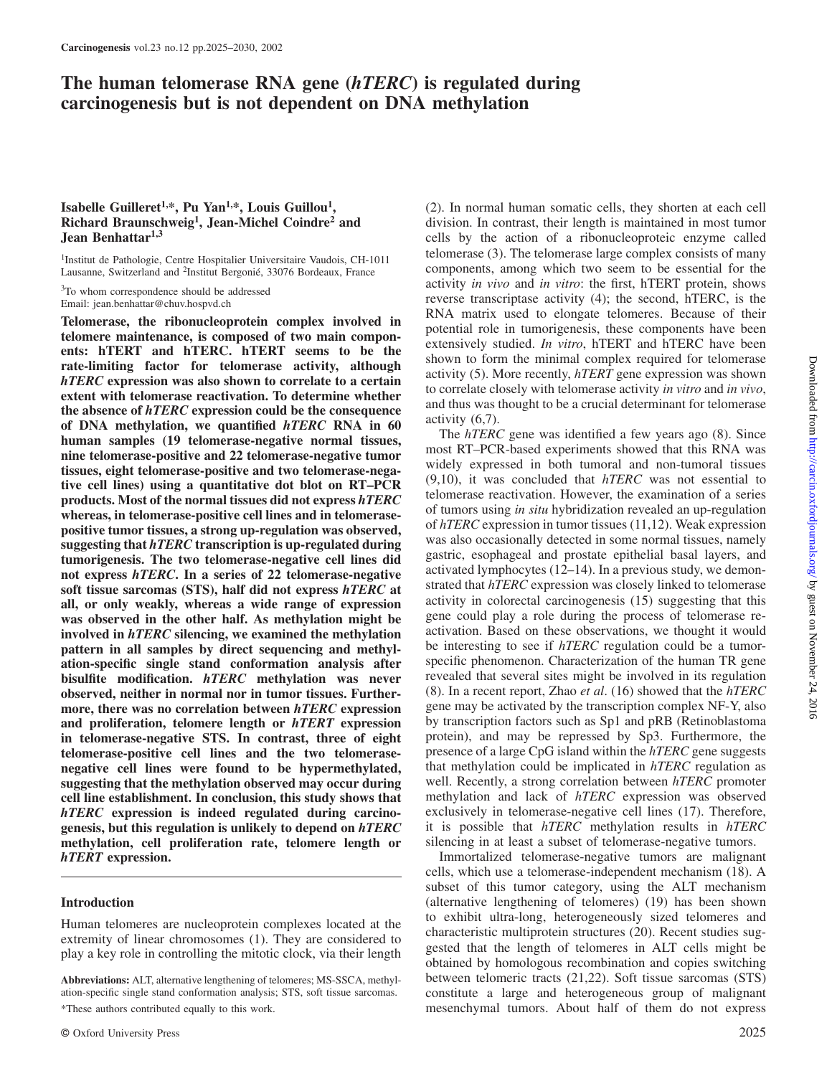# **The human telomerase RNA gene (***hTERC***) is regulated during carcinogenesis but is not dependent on DNA methylation**

# **Isabelle Guilleret1,\*, Pu Yan1,\*, Louis Guillou1, Richard Braunschweig1, Jean-Michel Coindre2 and Jean Benhattar1,3**

<sup>1</sup>Institut de Pathologie, Centre Hospitalier Universitaire Vaudois, CH-1011 Lausanne, Switzerland and <sup>2</sup>Institut Bergonié, 33076 Bordeaux, France

<sup>3</sup>To whom correspondence should be addressed Email: jean.benhattar@chuv.hospvd.ch

**Telomerase, the ribonucleoprotein complex involved in telomere maintenance, is composed of two main components: hTERT and hTERC. hTERT seems to be the rate-limiting factor for telomerase activity, although** *hTERC* **expression was also shown to correlate to a certain extent with telomerase reactivation. To determine whether the absence of** *hTERC* **expression could be the consequence of DNA methylation, we quantified** *hTERC* **RNA in 60 human samples (19 telomerase-negative normal tissues, nine telomerase-positive and 22 telomerase-negative tumor tissues, eight telomerase-positive and two telomerase-negative cell lines) using a quantitative dot blot on RT–PCR products. Most of the normal tissues did not express** *hTERC* **whereas, in telomerase-positive cell lines and in telomerasepositive tumor tissues, a strong up-regulation was observed, suggesting that** *hTERC* **transcription is up-regulated during tumorigenesis. The two telomerase-negative cell lines did not express** *hTERC***. In a series of 22 telomerase-negative soft tissue sarcomas (STS), half did not express** *hTERC* **at all, or only weakly, whereas a wide range of expression was observed in the other half. As methylation might be involved in** *hTERC* **silencing, we examined the methylation pattern in all samples by direct sequencing and methylation-specific single stand conformation analysis after bisulfite modification.** *hTERC* **methylation was never observed, neither in normal nor in tumor tissues. Furthermore, there was no correlation between** *hTERC* **expression and proliferation, telomere length or** *hTERT* **expression in telomerase-negative STS. In contrast, three of eight telomerase-positive cell lines and the two telomerasenegative cell lines were found to be hypermethylated, suggesting that the methylation observed may occur during cell line establishment. In conclusion, this study shows that** *hTERC* **expression is indeed regulated during carcinogenesis, but this regulation is unlikely to depend on** *hTERC* **methylation, cell proliferation rate, telomere length or** *hTERT* **expression.**

# **Introduction**

Human telomeres are nucleoprotein complexes located at the extremity of linear chromosomes (1). They are considered to play a key role in controlling the mitotic clock, via their length

© Oxford University Press 2025

(2). In normal human somatic cells, they shorten at each cell division. In contrast, their length is maintained in most tumor cells by the action of a ribonucleoproteic enzyme called telomerase (3). The telomerase large complex consists of many components, among which two seem to be essential for the activity *in vivo* and *in vitro*: the first, hTERT protein, shows reverse transcriptase activity (4); the second, hTERC, is the RNA matrix used to elongate telomeres. Because of their potential role in tumorigenesis, these components have been extensively studied. *In vitro*, hTERT and hTERC have been shown to form the minimal complex required for telomerase activity (5). More recently, *hTERT* gene expression was shown to correlate closely with telomerase activity *in vitro* and *in vivo*, and thus was thought to be a crucial determinant for telomerase activity (6,7).

The *hTERC* gene was identified a few years ago (8). Since most RT–PCR-based experiments showed that this RNA was widely expressed in both tumoral and non-tumoral tissues (9,10), it was concluded that *hTERC* was not essential to telomerase reactivation. However, the examination of a series of tumors using *in situ* hybridization revealed an up-regulation of *hTERC* expression in tumor tissues (11,12). Weak expression was also occasionally detected in some normal tissues, namely gastric, esophageal and prostate epithelial basal layers, and activated lymphocytes (12–14). In a previous study, we demonstrated that *hTERC* expression was closely linked to telomerase activity in colorectal carcinogenesis (15) suggesting that this gene could play a role during the process of telomerase reactivation. Based on these observations, we thought it would be interesting to see if *hTERC* regulation could be a tumorspecific phenomenon. Characterization of the human TR gene revealed that several sites might be involved in its regulation (8). In a recent report, Zhao *et al*. (16) showed that the *hTERC* gene may be activated by the transcription complex NF-Y, also by transcription factors such as Sp1 and pRB (Retinoblastoma protein), and may be repressed by Sp3. Furthermore, the presence of a large CpG island within the *hTERC* gene suggests that methylation could be implicated in *hTERC* regulation as well. Recently, a strong correlation between *hTERC* promoter methylation and lack of *hTERC* expression was observed exclusively in telomerase-negative cell lines (17). Therefore, it is possible that *hTERC* methylation results in *hTERC* silencing in at least a subset of telomerase-negative tumors.

Immortalized telomerase-negative tumors are malignant cells, which use a telomerase-independent mechanism (18). A subset of this tumor category, using the ALT mechanism (alternative lengthening of telomeres) (19) has been shown to exhibit ultra-long, heterogeneously sized telomeres and characteristic multiprotein structures (20). Recent studies suggested that the length of telomeres in ALT cells might be obtained by homologous recombination and copies switching between telomeric tracts (21,22). Soft tissue sarcomas (STS) constitute a large and heterogeneous group of malignant mesenchymal tumors. About half of them do not express

**Abbreviations:** ALT, alternative lengthening of telomeres; MS-SSCA, methylation-specific single stand conformation analysis; STS, soft tissue sarcomas. \*These authors contributed equally to this work.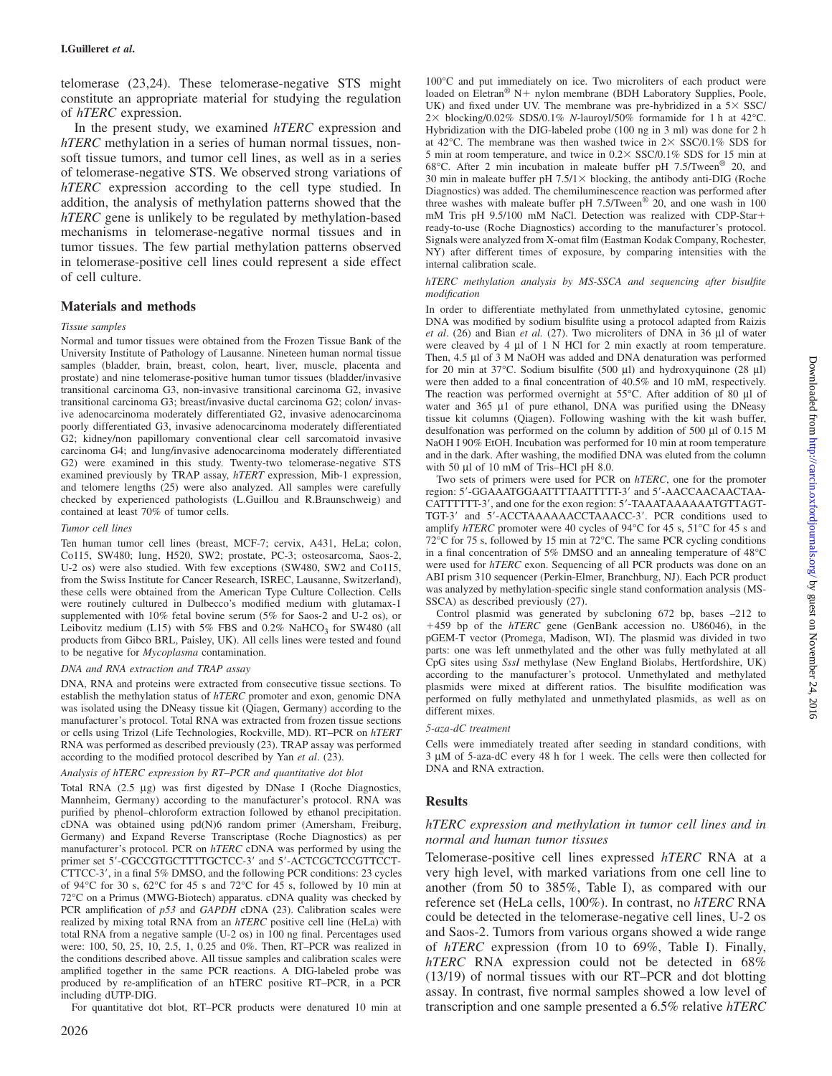telomerase (23,24). These telomerase-negative STS might constitute an appropriate material for studying the regulation of *hTERC* expression.

In the present study, we examined *hTERC* expression and *hTERC* methylation in a series of human normal tissues, nonsoft tissue tumors, and tumor cell lines, as well as in a series of telomerase-negative STS. We observed strong variations of *hTERC* expression according to the cell type studied. In addition, the analysis of methylation patterns showed that the *hTERC* gene is unlikely to be regulated by methylation-based mechanisms in telomerase-negative normal tissues and in tumor tissues. The few partial methylation patterns observed in telomerase-positive cell lines could represent a side effect of cell culture.

# **Materials and methods**

### *Tissue samples*

Normal and tumor tissues were obtained from the Frozen Tissue Bank of the University Institute of Pathology of Lausanne. Nineteen human normal tissue samples (bladder, brain, breast, colon, heart, liver, muscle, placenta and prostate) and nine telomerase-positive human tumor tissues (bladder/invasive transitional carcinoma G3, non-invasive transitional carcinoma G2, invasive transitional carcinoma G3; breast/invasive ductal carcinoma G2; colon/ invasive adenocarcinoma moderately differentiated G2, invasive adenocarcinoma poorly differentiated G3, invasive adenocarcinoma moderately differentiated G2; kidney/non papillomary conventional clear cell sarcomatoid invasive carcinoma G4; and lung/invasive adenocarcinoma moderately differentiated G2) were examined in this study. Twenty-two telomerase-negative STS examined previously by TRAP assay, *hTERT* expression, Mib-1 expression, and telomere lengths (25) were also analyzed. All samples were carefully checked by experienced pathologists (L.Guillou and R.Braunschweig) and contained at least 70% of tumor cells.

# *Tumor cell lines*

Ten human tumor cell lines (breast, MCF-7; cervix, A431, HeLa; colon, Co115, SW480; lung, H520, SW2; prostate, PC-3; osteosarcoma, Saos-2, U-2 os) were also studied. With few exceptions (SW480, SW2 and Co115, from the Swiss Institute for Cancer Research, ISREC, Lausanne, Switzerland), these cells were obtained from the American Type Culture Collection. Cells were routinely cultured in Dulbecco's modified medium with glutamax-1 supplemented with 10% fetal bovine serum (5% for Saos-2 and U-2 os), or Leibovitz medium (L15) with 5% FBS and  $0.2\%$  NaHCO<sub>3</sub> for SW480 (all products from Gibco BRL, Paisley, UK). All cells lines were tested and found to be negative for *Mycoplasma* contamination.

### *DNA and RNA extraction and TRAP assay*

DNA, RNA and proteins were extracted from consecutive tissue sections. To establish the methylation status of *hTERC* promoter and exon, genomic DNA was isolated using the DNeasy tissue kit (Qiagen, Germany) according to the manufacturer's protocol. Total RNA was extracted from frozen tissue sections or cells using Trizol (Life Technologies, Rockville, MD). RT–PCR on *hTERT* RNA was performed as described previously (23). TRAP assay was performed according to the modified protocol described by Yan *et al*. (23).

### *Analysis of hTERC expression by RT–PCR and quantitative dot blot*

Total RNA (2.5 µg) was first digested by DNase I (Roche Diagnostics, Mannheim, Germany) according to the manufacturer's protocol. RNA was purified by phenol–chloroform extraction followed by ethanol precipitation. cDNA was obtained using pd(N)6 random primer (Amersham, Freiburg, Germany) and Expand Reverse Transcriptase (Roche Diagnostics) as per manufacturer's protocol. PCR on *hTERC* cDNA was performed by using the primer set 5'-CGCCGTGCTTTTGCTCC-3' and 5'-ACTCGCTCCGTTCCT-CTTCC-3', in a final 5% DMSO, and the following PCR conditions: 23 cycles of 94°C for 30 s, 62°C for 45 s and 72°C for 45 s, followed by 10 min at 72°C on a Primus (MWG-Biotech) apparatus. cDNA quality was checked by PCR amplification of  $p53$  and *GAPDH* cDNA (23). Calibration scales were realized by mixing total RNA from an *hTERC* positive cell line (HeLa) with total RNA from a negative sample (U-2 os) in 100 ng final. Percentages used were: 100, 50, 25, 10, 2.5, 1, 0.25 and 0%. Then, RT–PCR was realized in the conditions described above. All tissue samples and calibration scales were amplified together in the same PCR reactions. A DIG-labeled probe was produced by re-amplification of an hTERC positive RT–PCR, in a PCR including dUTP-DIG.

For quantitative dot blot, RT–PCR products were denatured 10 min at

100°C and put immediately on ice. Two microliters of each product were loaded on Eletran® N+ nylon membrane (BDH Laboratory Supplies, Poole, UK) and fixed under UV. The membrane was pre-hybridized in a  $5 \times$  SSC/ 2 blocking/0.02% SDS/0.1% *N*-lauroyl/50% formamide for 1 h at 42°C. Hybridization with the DIG-labeled probe (100 ng in 3 ml) was done for 2 h at 42°C. The membrane was then washed twice in  $2 \times$  SSC/0.1% SDS for 5 min at room temperature, and twice in  $0.2 \times$  SSC/0.1% SDS for 15 min at 68°C. After 2 min incubation in maleate buffer pH 7.5/Tween® 20, and 30 min in maleate buffer pH  $7.5/1 \times$  blocking, the antibody anti-DIG (Roche Diagnostics) was added. The chemiluminescence reaction was performed after three washes with maleate buffer pH  $7.5$ /Tween<sup>®</sup> 20, and one wash in 100 mM Tris pH 9.5/100 mM NaCl. Detection was realized with CDP-Star ready-to-use (Roche Diagnostics) according to the manufacturer's protocol. Signals were analyzed from X-omat film (Eastman Kodak Company, Rochester, NY) after different times of exposure, by comparing intensities with the internal calibration scale.

#### *hTERC methylation analysis by MS-SSCA and sequencing after bisulfite modification*

In order to differentiate methylated from unmethylated cytosine, genomic DNA was modified by sodium bisulfite using a protocol adapted from Raizis *et al*. (26) and Bian *et al.* (27). Two microliters of DNA in 36 µl of water were cleaved by 4  $\mu$ l of 1 N HCl for 2 min exactly at room temperature. Then, 4.5 µl of 3 M NaOH was added and DNA denaturation was performed for 20 min at 37°C. Sodium bisulfite (500 µl) and hydroxyquinone (28 µl) were then added to a final concentration of 40.5% and 10 mM, respectively. The reaction was performed overnight at 55°C. After addition of 80 µl of water and  $365 \mu l$  of pure ethanol, DNA was purified using the DNeasy tissue kit columns (Qiagen). Following washing with the kit wash buffer, desulfonation was performed on the column by addition of 500 µl of 0.15 M NaOH I 90% EtOH. Incubation was performed for 10 min at room temperature and in the dark. After washing, the modified DNA was eluted from the column with 50 µl of 10 mM of Tris–HCl pH 8.0.

Two sets of primers were used for PCR on *hTERC*, one for the promoter region: 5'-GGAAATGGAATTTTAATTTTT-3' and 5'-AACCAACAACTAA-CATTTTTT-3', and one for the exon region: 5'-TAAATAAAAAATGTTAGT-TGT-3' and 5'-ACCTAAAAAACCTAAACC-3'. PCR conditions used to amplify *hTERC* promoter were 40 cycles of 94°C for 45 s, 51°C for 45 s and 72°C for 75 s, followed by 15 min at 72°C. The same PCR cycling conditions in a final concentration of 5% DMSO and an annealing temperature of 48°C were used for *hTERC* exon. Sequencing of all PCR products was done on an ABI prism 310 sequencer (Perkin-Elmer, Branchburg, NJ). Each PCR product was analyzed by methylation-specific single stand conformation analysis (MS-SSCA) as described previously (27).

Control plasmid was generated by subcloning 672 bp, bases –212 to -459 bp of the *hTERC* gene (GenBank accession no. U86046), in the pGEM-T vector (Promega, Madison, WI). The plasmid was divided in two parts: one was left unmethylated and the other was fully methylated at all CpG sites using *SssI* methylase (New England Biolabs, Hertfordshire, UK) according to the manufacturer's protocol. Unmethylated and methylated plasmids were mixed at different ratios. The bisulfite modification was performed on fully methylated and unmethylated plasmids, as well as on different mixes.

### *5-aza-dC treatment*

Cells were immediately treated after seeding in standard conditions, with 3 µM of 5-aza-dC every 48 h for 1 week. The cells were then collected for DNA and RNA extraction.

# **Results**

# *hTERC expression and methylation in tumor cell lines and in normal and human tumor tissues*

Telomerase-positive cell lines expressed *hTERC* RNA at a very high level, with marked variations from one cell line to another (from 50 to 385%, Table I), as compared with our reference set (HeLa cells, 100%). In contrast, no *hTERC* RNA could be detected in the telomerase-negative cell lines, U-2 os and Saos-2. Tumors from various organs showed a wide range of *hTERC* expression (from 10 to 69%, Table I). Finally, *hTERC* RNA expression could not be detected in 68% (13/19) of normal tissues with our RT–PCR and dot blotting assay. In contrast, five normal samples showed a low level of transcription and one sample presented a 6.5% relative *hTERC*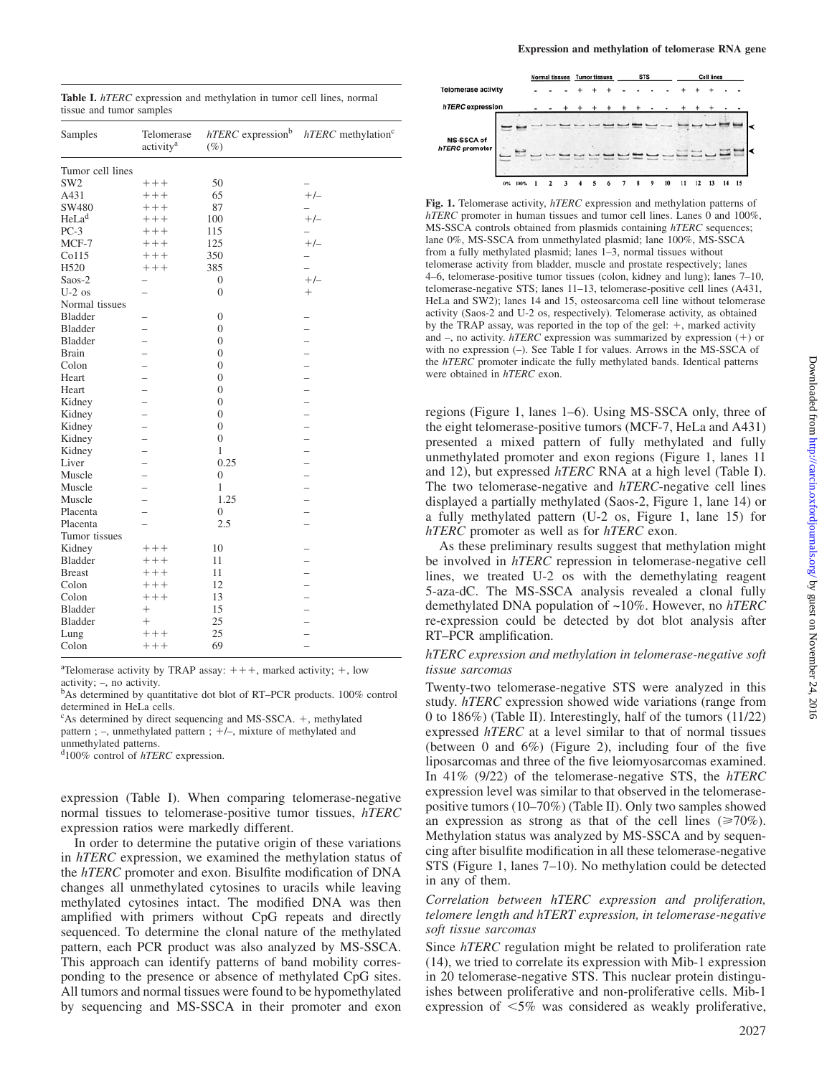| Samples           | Telomerase<br>activity <sup>a</sup> | $hTERC$ expression <sup>b</sup><br>$(\%)$ | $hTERC$ methylation <sup>c</sup> |
|-------------------|-------------------------------------|-------------------------------------------|----------------------------------|
| Tumor cell lines  |                                     |                                           |                                  |
| SW <sub>2</sub>   | $++++$                              | 50                                        |                                  |
| A431              | $++++$                              | 65                                        | $+/-$                            |
| SW480             | $++++$                              | 87                                        | $\overline{\phantom{0}}$         |
| HeLa <sup>d</sup> | $++++$                              | 100                                       | $+/-$                            |
| $PC-3$            | $+++$                               | 115                                       | $\overline{\phantom{0}}$         |
| MCF-7             | $++++$                              | 125                                       | $+/-$                            |
| Co115             | $++++$                              | 350                                       | $\overline{\phantom{0}}$         |
| H <sub>520</sub>  | $++++$                              | 385                                       |                                  |
| $S$ aos-2         | $\overline{\phantom{0}}$            | $\overline{0}$                            | $+/-$                            |
| $U-2$ os          |                                     | $\overline{0}$                            | $^{+}$                           |
| Normal tissues    |                                     |                                           |                                  |
| <b>Bladder</b>    |                                     | $\overline{0}$                            |                                  |
| <b>Bladder</b>    |                                     | $\overline{0}$                            |                                  |
| Bladder           |                                     | $\overline{0}$                            |                                  |
| <b>Brain</b>      |                                     | $\overline{0}$                            |                                  |
| Colon             |                                     | $\overline{0}$                            |                                  |
| Heart             |                                     | $\overline{0}$                            |                                  |
| Heart             |                                     | $\overline{0}$                            |                                  |
| Kidney            |                                     | $\overline{0}$                            |                                  |
| Kidney            |                                     | $\theta$                                  |                                  |
| Kidney            |                                     | $\overline{0}$                            | $\overline{\phantom{0}}$         |
| Kidney            |                                     | $\boldsymbol{0}$                          |                                  |
| Kidney            |                                     | $\mathbf{1}$                              |                                  |
| Liver             |                                     | 0.25                                      |                                  |
| Muscle            |                                     | $\overline{0}$                            |                                  |
| Muscle            | $\overline{\phantom{0}}$            | 1                                         | -                                |
| Muscle            |                                     | 1.25                                      |                                  |
| Placenta          |                                     | $\overline{0}$                            |                                  |
| Placenta          | -                                   | 2.5                                       |                                  |
| Tumor tissues     |                                     |                                           |                                  |
| Kidney            | $++++$                              | 10                                        |                                  |
| Bladder           | $++++$                              | 11                                        |                                  |
| <b>Breast</b>     | $++++$                              | 11                                        |                                  |
| Colon             | $++++$                              | 12                                        |                                  |
| Colon             | $++++$                              | 13                                        |                                  |
| <b>Bladder</b>    | $^{+}$                              | 15                                        |                                  |
| Bladder           | $^{+}$                              | 25                                        |                                  |
| Lung              | $++++$                              | 25                                        |                                  |
| Colon             | $++++$                              | 69                                        |                                  |
|                   |                                     |                                           |                                  |

<sup>a</sup>Telomerase activity by TRAP assay:  $+++$ , marked activity;  $+$ , low

activity;  $-$ , no activity.<br> $b$ As determined by quantitative dot blot of RT–PCR products. 100% control determined in HeLa cells.

<sup>c</sup>As determined by direct sequencing and MS-SSCA. +, methylated

pattern; -, unmethylated pattern; +/-, mixture of methylated and

unmethylated patterns.

d100% control of *hTERC* expression.

expression (Table I). When comparing telomerase-negative normal tissues to telomerase-positive tumor tissues, *hTERC* expression ratios were markedly different.

In order to determine the putative origin of these variations in *hTERC* expression, we examined the methylation status of the *hTERC* promoter and exon. Bisulfite modification of DNA changes all unmethylated cytosines to uracils while leaving methylated cytosines intact. The modified DNA was then amplified with primers without CpG repeats and directly sequenced. To determine the clonal nature of the methylated pattern, each PCR product was also analyzed by MS-SSCA. This approach can identify patterns of band mobility corresponding to the presence or absence of methylated CpG sites. All tumors and normal tissues were found to be hypomethylated by sequencing and MS-SSCA in their promoter and exon

|                            |    |      | Normal tissues |  |  | <b>STS</b><br><b>Tumor tissues</b> |  |  | <b>Cell lines</b> |    |    |    |    |  |    |  |
|----------------------------|----|------|----------------|--|--|------------------------------------|--|--|-------------------|----|----|----|----|--|----|--|
| <b>Telomerase activity</b> |    |      |                |  |  |                                    |  |  |                   |    |    |    |    |  |    |  |
| hTERC expression           |    |      | ۰              |  |  |                                    |  |  |                   |    |    |    |    |  |    |  |
| MS-SSCA of                 |    |      |                |  |  |                                    |  |  |                   |    |    |    |    |  |    |  |
| hTERC promoter             |    |      |                |  |  |                                    |  |  |                   |    |    |    |    |  |    |  |
|                            | 0% | 100% |                |  |  |                                    |  |  |                   | 10 | 11 | 12 | 13 |  | 15 |  |

**Fig. 1.** Telomerase activity, *hTERC* expression and methylation patterns of *hTERC* promoter in human tissues and tumor cell lines. Lanes 0 and 100%, MS-SSCA controls obtained from plasmids containing *hTERC* sequences; lane 0%, MS-SSCA from unmethylated plasmid; lane 100%, MS-SSCA from a fully methylated plasmid; lanes 1–3, normal tissues without telomerase activity from bladder, muscle and prostate respectively; lanes 4–6, telomerase-positive tumor tissues (colon, kidney and lung); lanes 7–10, telomerase-negative STS; lanes 11–13, telomerase-positive cell lines (A431, HeLa and SW2); lanes 14 and 15, osteosarcoma cell line without telomerase activity (Saos-2 and U-2 os, respectively). Telomerase activity, as obtained by the TRAP assay, was reported in the top of the gel:  $+$ , marked activity and  $-$ , no activity.  $hTERC$  expression was summarized by expression  $(+)$  or with no expression (–). See Table I for values. Arrows in the MS-SSCA of the *hTERC* promoter indicate the fully methylated bands. Identical patterns were obtained in *hTERC* exon.

regions (Figure 1, lanes 1–6). Using MS-SSCA only, three of the eight telomerase-positive tumors (MCF-7, HeLa and A431) presented a mixed pattern of fully methylated and fully unmethylated promoter and exon regions (Figure 1, lanes 11 and 12), but expressed *hTERC* RNA at a high level (Table I). The two telomerase-negative and *hTERC*-negative cell lines displayed a partially methylated (Saos-2, Figure 1, lane 14) or a fully methylated pattern (U-2 os, Figure 1, lane 15) for *hTERC* promoter as well as for *hTERC* exon.

As these preliminary results suggest that methylation might be involved in *hTERC* repression in telomerase-negative cell lines, we treated U-2 os with the demethylating reagent 5-aza-dC. The MS-SSCA analysis revealed a clonal fully demethylated DNA population of ~10%. However, no *hTERC* re-expression could be detected by dot blot analysis after RT–PCR amplification.

# *hTERC expression and methylation in telomerase-negative soft tissue sarcomas*

Twenty-two telomerase-negative STS were analyzed in this study. *hTERC* expression showed wide variations (range from 0 to 186%) (Table II). Interestingly, half of the tumors (11/22) expressed *hTERC* at a level similar to that of normal tissues (between 0 and 6%) (Figure 2), including four of the five liposarcomas and three of the five leiomyosarcomas examined. In 41% (9/22) of the telomerase-negative STS, the *hTERC* expression level was similar to that observed in the telomerasepositive tumors (10–70%) (Table II). Only two samples showed an expression as strong as that of the cell lines  $(\geq 70\%)$ . Methylation status was analyzed by MS-SSCA and by sequencing after bisulfite modification in all these telomerase-negative STS (Figure 1, lanes 7–10). No methylation could be detected in any of them.

*Correlation between hTERC expression and proliferation, telomere length and hTERT expression, in telomerase-negative soft tissue sarcomas*

Since *hTERC* regulation might be related to proliferation rate (14), we tried to correlate its expression with Mib-1 expression in 20 telomerase-negative STS. This nuclear protein distinguishes between proliferative and non-proliferative cells. Mib-1 expression of  $\leq 5\%$  was considered as weakly proliferative,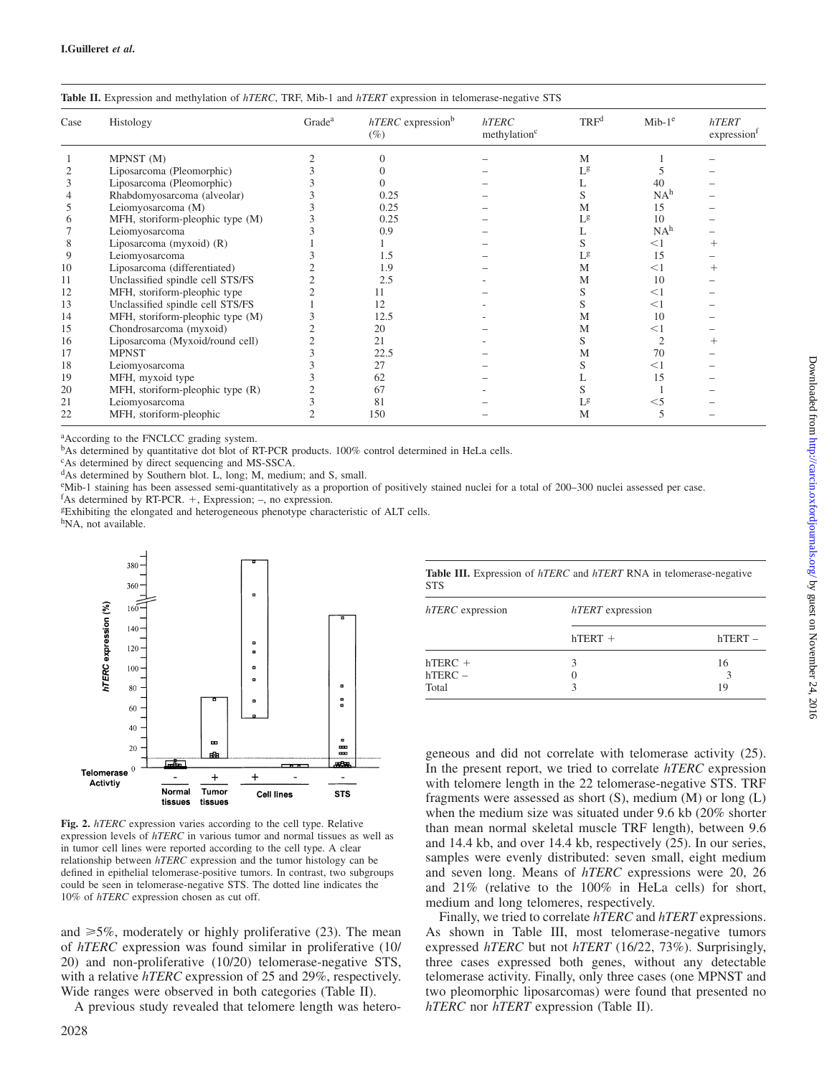| Case | Histology                        | Grade <sup>a</sup> | $hTERC$ expression <sup>b</sup><br>$(\%)$ | hTERC<br>methylation <sup>c</sup> | TRF <sup>d</sup> | $Mib-1e$        | hTERT<br>expression |
|------|----------------------------------|--------------------|-------------------------------------------|-----------------------------------|------------------|-----------------|---------------------|
|      | MPNST (M)                        |                    |                                           |                                   | M                |                 |                     |
|      | Liposarcoma (Pleomorphic)        |                    |                                           |                                   | Lg               |                 |                     |
| 3    | Liposarcoma (Pleomorphic)        |                    |                                           |                                   |                  | 40              |                     |
|      | Rhabdomyosarcoma (alveolar)      |                    | 0.25                                      |                                   | S                | NA <sup>h</sup> |                     |
|      | Leiomyosarcoma (M)               |                    | 0.25                                      |                                   | Μ                | 15              |                     |
| 6    | MFH, storiform-pleophic type (M) |                    | 0.25                                      |                                   | Lg               | 10              |                     |
|      | Leiomyosarcoma                   |                    | 0.9                                       |                                   |                  | NA <sup>h</sup> |                     |
| 8    | Liposarcoma (myxoid) $(R)$       |                    |                                           |                                   |                  | $<$ 1           |                     |
| 9    | Leiomyosarcoma                   |                    | 1.5                                       |                                   | Lg               | 15              |                     |
| 10   | Liposarcoma (differentiated)     |                    | 1.9                                       |                                   | M                | $<$ 1           |                     |
| 11   | Unclassified spindle cell STS/FS |                    | 2.5                                       |                                   | M                | 10              |                     |
| 12   | MFH, storiform-pleophic type     |                    | 11                                        |                                   | ৲                | $<$ 1           |                     |
| 13   | Unclassified spindle cell STS/FS |                    | 12                                        |                                   | S                | $<$ 1           |                     |
| 14   | MFH, storiform-pleophic type (M) |                    | 12.5                                      |                                   | M                | 10              |                     |
| 15   | Chondrosarcoma (myxoid)          |                    | 20                                        |                                   | M                | $<$ 1           |                     |
| 16   | Liposarcoma (Myxoid/round cell)  |                    | 21                                        |                                   | S                |                 |                     |
| 17   | <b>MPNST</b>                     |                    | 22.5                                      |                                   | М                | 70              |                     |
| 18   | Leiomyosarcoma                   |                    | 27                                        |                                   | N.               | $<$ 1           |                     |
| 19   | MFH, myxoid type                 |                    | 62                                        |                                   |                  | 15              |                     |
| 20   | MFH, storiform-pleophic type (R) |                    | 67                                        |                                   |                  |                 |                     |
| 21   | Leiomyosarcoma                   |                    | 81                                        |                                   | Lg               | $<$ 5           |                     |
| 22   | MFH, storiform-pleophic          |                    | 150                                       |                                   | М                |                 |                     |
|      |                                  |                    |                                           |                                   |                  |                 |                     |

|  |  |  | <b>Table II.</b> Expression and methylation of <i>hTERC</i> , TRF, Mib-1 and <i>hTERT</i> expression in telomerase-negative STS |  |
|--|--|--|---------------------------------------------------------------------------------------------------------------------------------|--|
|  |  |  |                                                                                                                                 |  |

a According to the FNCLCC grading system.

<sup>b</sup>As determined by quantitative dot blot of RT-PCR products. 100% control determined in HeLa cells.

c As determined by direct sequencing and MS-SSCA.

dAs determined by Southern blot. L, long; M, medium; and S, small.

<sup>e</sup>Mib-1 staining has been assessed semi-quantitatively as a proportion of positively stained nuclei for a total of 200–300 nuclei assessed per case.

 $f$ As determined by RT-PCR. +, Expression; -, no expression.

<sup>g</sup>Exhibiting the elongated and heterogeneous phenotype characteristic of ALT cells.

h<sub>NA</sub>, not available.



**Fig. 2.** *hTERC* expression varies according to the cell type. Relative expression levels of *hTERC* in various tumor and normal tissues as well as in tumor cell lines were reported according to the cell type. A clear relationship between *hTERC* expression and the tumor histology can be defined in epithelial telomerase-positive tumors. In contrast, two subgroups could be seen in telomerase-negative STS. The dotted line indicates the 10% of *hTERC* expression chosen as cut off.

and  $\geq 5\%$ , moderately or highly proliferative (23). The mean of *hTERC* expression was found similar in proliferative (10/ 20) and non-proliferative (10/20) telomerase-negative STS, with a relative *hTERC* expression of 25 and 29%, respectively. Wide ranges were observed in both categories (Table II).

A previous study revealed that telomere length was hetero-

|     |  |  |  | Table III. Expression of <i>hTERC</i> and <i>hTERT</i> RNA in telomerase-negative |  |
|-----|--|--|--|-----------------------------------------------------------------------------------|--|
| STS |  |  |  |                                                                                   |  |

| hTERC expression | hTERT expression |           |  |  |  |  |
|------------------|------------------|-----------|--|--|--|--|
|                  | $hTERT +$        | $hTERT -$ |  |  |  |  |
| $hTERC +$        |                  | 16        |  |  |  |  |
| $hTERC -$        |                  |           |  |  |  |  |
| Total            |                  | 19        |  |  |  |  |

geneous and did not correlate with telomerase activity (25). In the present report, we tried to correlate *hTERC* expression with telomere length in the 22 telomerase-negative STS. TRF fragments were assessed as short (S), medium (M) or long (L) when the medium size was situated under 9.6 kb (20% shorter than mean normal skeletal muscle TRF length), between 9.6 and 14.4 kb, and over 14.4 kb, respectively (25). In our series, samples were evenly distributed: seven small, eight medium and seven long. Means of *hTERC* expressions were 20, 26 and 21% (relative to the 100% in HeLa cells) for short, medium and long telomeres, respectively.

Finally, we tried to correlate *hTERC* and *hTERT* expressions. As shown in Table III, most telomerase-negative tumors expressed *hTERC* but not *hTERT* (16/22, 73%). Surprisingly, three cases expressed both genes, without any detectable telomerase activity. Finally, only three cases (one MPNST and two pleomorphic liposarcomas) were found that presented no *hTERC* nor *hTERT* expression (Table II).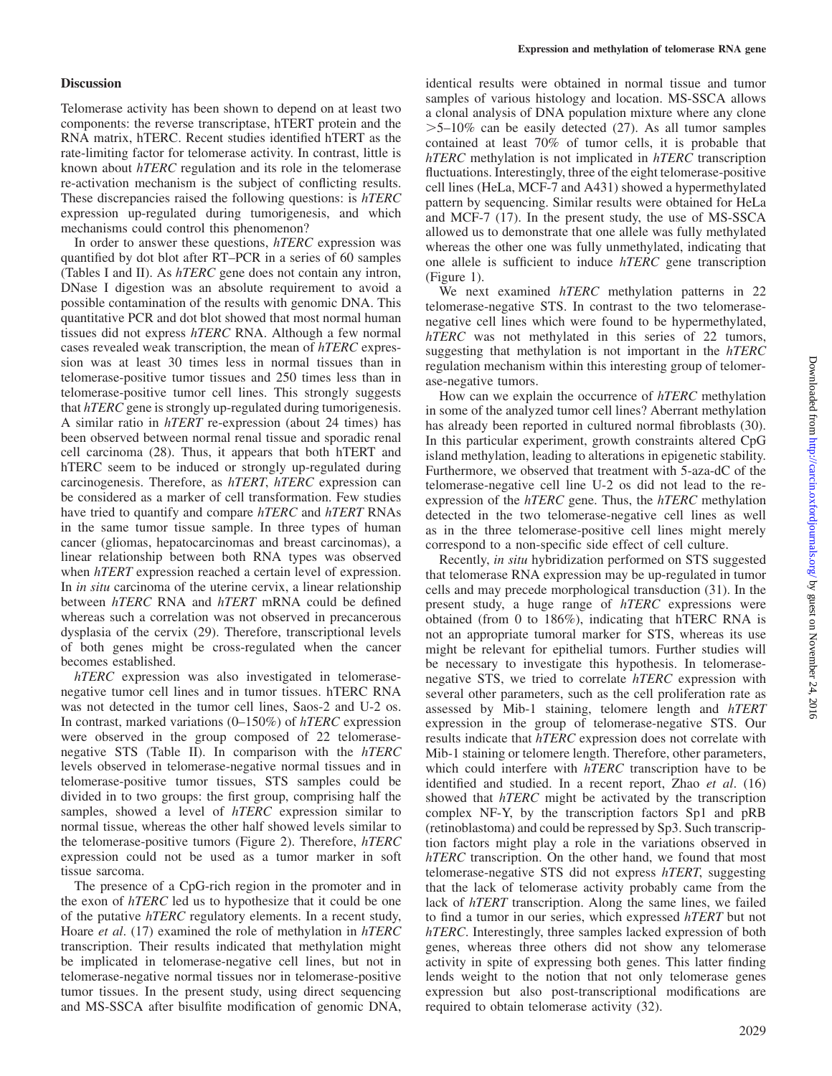# **Discussion**

Telomerase activity has been shown to depend on at least two components: the reverse transcriptase, hTERT protein and the RNA matrix, hTERC. Recent studies identified hTERT as the rate-limiting factor for telomerase activity. In contrast, little is known about *hTERC* regulation and its role in the telomerase re-activation mechanism is the subject of conflicting results. These discrepancies raised the following questions: is *hTERC* expression up-regulated during tumorigenesis, and which mechanisms could control this phenomenon?

In order to answer these questions, *hTERC* expression was quantified by dot blot after RT–PCR in a series of 60 samples (Tables I and II). As *hTERC* gene does not contain any intron, DNase I digestion was an absolute requirement to avoid a possible contamination of the results with genomic DNA. This quantitative PCR and dot blot showed that most normal human tissues did not express *hTERC* RNA. Although a few normal cases revealed weak transcription, the mean of *hTERC* expression was at least 30 times less in normal tissues than in telomerase-positive tumor tissues and 250 times less than in telomerase-positive tumor cell lines. This strongly suggests that *hTERC* gene is strongly up-regulated during tumorigenesis. A similar ratio in *hTERT* re-expression (about 24 times) has been observed between normal renal tissue and sporadic renal cell carcinoma (28). Thus, it appears that both hTERT and hTERC seem to be induced or strongly up-regulated during carcinogenesis. Therefore, as *hTERT*, *hTERC* expression can be considered as a marker of cell transformation. Few studies have tried to quantify and compare *hTERC* and *hTERT* RNAs in the same tumor tissue sample. In three types of human cancer (gliomas, hepatocarcinomas and breast carcinomas), a linear relationship between both RNA types was observed when *hTERT* expression reached a certain level of expression. In *in situ* carcinoma of the uterine cervix, a linear relationship between *hTERC* RNA and *hTERT* mRNA could be defined whereas such a correlation was not observed in precancerous dysplasia of the cervix (29). Therefore, transcriptional levels of both genes might be cross-regulated when the cancer becomes established.

*hTERC* expression was also investigated in telomerasenegative tumor cell lines and in tumor tissues. hTERC RNA was not detected in the tumor cell lines, Saos-2 and U-2 os. In contrast, marked variations (0–150%) of *hTERC* expression were observed in the group composed of 22 telomerasenegative STS (Table II). In comparison with the *hTERC* levels observed in telomerase-negative normal tissues and in telomerase-positive tumor tissues, STS samples could be divided in to two groups: the first group, comprising half the samples, showed a level of *hTERC* expression similar to normal tissue, whereas the other half showed levels similar to the telomerase-positive tumors (Figure 2). Therefore, *hTERC* expression could not be used as a tumor marker in soft tissue sarcoma.

The presence of a CpG-rich region in the promoter and in the exon of *hTERC* led us to hypothesize that it could be one of the putative *hTERC* regulatory elements. In a recent study, Hoare *et al*. (17) examined the role of methylation in *hTERC* transcription. Their results indicated that methylation might be implicated in telomerase-negative cell lines, but not in telomerase-negative normal tissues nor in telomerase-positive tumor tissues. In the present study, using direct sequencing and MS-SSCA after bisulfite modification of genomic DNA,

identical results were obtained in normal tissue and tumor samples of various histology and location. MS-SSCA allows a clonal analysis of DNA population mixture where any clone  $>5-10\%$  can be easily detected (27). As all tumor samples contained at least 70% of tumor cells, it is probable that *hTERC* methylation is not implicated in *hTERC* transcription fluctuations. Interestingly, three of the eight telomerase-positive cell lines (HeLa, MCF-7 and A431) showed a hypermethylated pattern by sequencing. Similar results were obtained for HeLa and MCF-7 (17). In the present study, the use of MS-SSCA allowed us to demonstrate that one allele was fully methylated whereas the other one was fully unmethylated, indicating that one allele is sufficient to induce *hTERC* gene transcription (Figure 1).

We next examined *hTERC* methylation patterns in 22 telomerase-negative STS. In contrast to the two telomerasenegative cell lines which were found to be hypermethylated, *hTERC* was not methylated in this series of 22 tumors, suggesting that methylation is not important in the *hTERC* regulation mechanism within this interesting group of telomerase-negative tumors.

How can we explain the occurrence of *hTERC* methylation in some of the analyzed tumor cell lines? Aberrant methylation has already been reported in cultured normal fibroblasts (30). In this particular experiment, growth constraints altered CpG island methylation, leading to alterations in epigenetic stability. Furthermore, we observed that treatment with 5-aza-dC of the telomerase-negative cell line U-2 os did not lead to the reexpression of the *hTERC* gene. Thus, the *hTERC* methylation detected in the two telomerase-negative cell lines as well as in the three telomerase-positive cell lines might merely correspond to a non-specific side effect of cell culture.

Recently, *in situ* hybridization performed on STS suggested that telomerase RNA expression may be up-regulated in tumor cells and may precede morphological transduction (31). In the present study, a huge range of *hTERC* expressions were obtained (from 0 to 186%), indicating that hTERC RNA is not an appropriate tumoral marker for STS, whereas its use might be relevant for epithelial tumors. Further studies will be necessary to investigate this hypothesis. In telomerasenegative STS, we tried to correlate *hTERC* expression with several other parameters, such as the cell proliferation rate as assessed by Mib-1 staining, telomere length and *hTERT* expression in the group of telomerase-negative STS. Our results indicate that *hTERC* expression does not correlate with Mib-1 staining or telomere length. Therefore, other parameters, which could interfere with *hTERC* transcription have to be identified and studied. In a recent report, Zhao *et al*. (16) showed that *hTERC* might be activated by the transcription complex NF-Y, by the transcription factors Sp1 and pRB (retinoblastoma) and could be repressed by Sp3. Such transcription factors might play a role in the variations observed in *hTERC* transcription. On the other hand, we found that most telomerase-negative STS did not express *hTERT*, suggesting that the lack of telomerase activity probably came from the lack of *hTERT* transcription. Along the same lines, we failed to find a tumor in our series, which expressed *hTERT* but not *hTERC*. Interestingly, three samples lacked expression of both genes, whereas three others did not show any telomerase activity in spite of expressing both genes. This latter finding lends weight to the notion that not only telomerase genes expression but also post-transcriptional modifications are required to obtain telomerase activity (32).